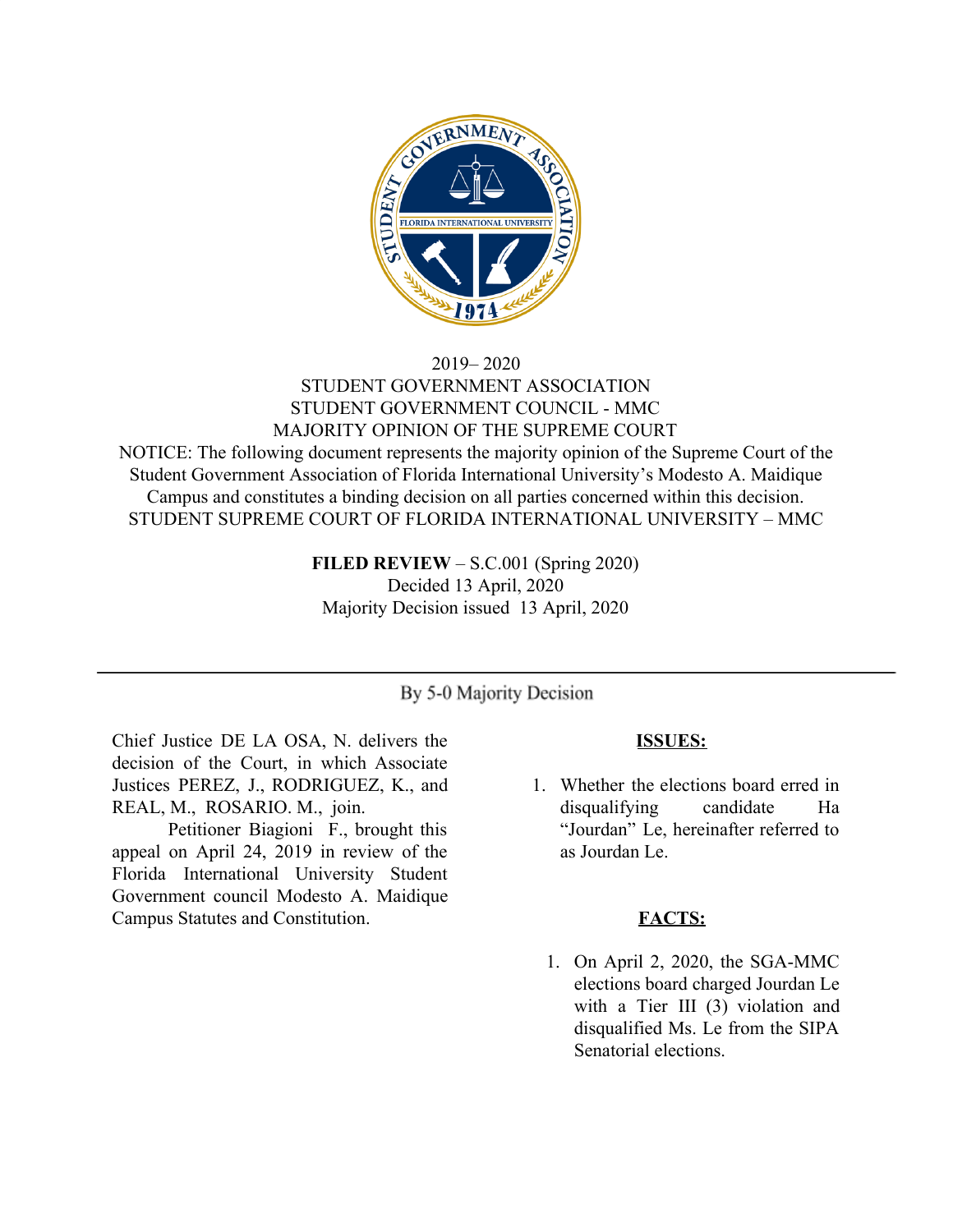

# 2019– 2020 STUDENT GOVERNMENT ASSOCIATION STUDENT GOVERNMENT COUNCIL - MMC MAJORITY OPINION OF THE SUPREME COURT

NOTICE: The following document represents the majority opinion of the Supreme Court of the Student Government Association of Florida International University's Modesto A. Maidique Campus and constitutes a binding decision on all parties concerned within this decision. STUDENT SUPREME COURT OF FLORIDA INTERNATIONAL UNIVERSITY – MMC

> **FILED REVIEW** – S.C.001 (Spring 2020) Decided 13 April, 2020 Majority Decision issued 13 April, 2020

# By 5-0 Majority Decision

Chief Justice DE LA OSA, N. delivers the decision of the Court, in which Associate Justices PEREZ, J., RODRIGUEZ, K., and REAL, M., ROSARIO. M., join.

Petitioner Biagioni F., brought this appeal on April 24, 2019 in review of the Florida International University Student Government council Modesto A. Maidique Campus Statutes and Constitution.

### **ISSUES:**

1. Whether the elections board erred in disqualifying candidate Ha "Jourdan" Le, hereinafter referred to as Jourdan Le.

#### **FACTS:**

1. On April 2, 2020, the SGA-MMC elections board charged Jourdan Le with a Tier III (3) violation and disqualified Ms. Le from the SIPA Senatorial elections.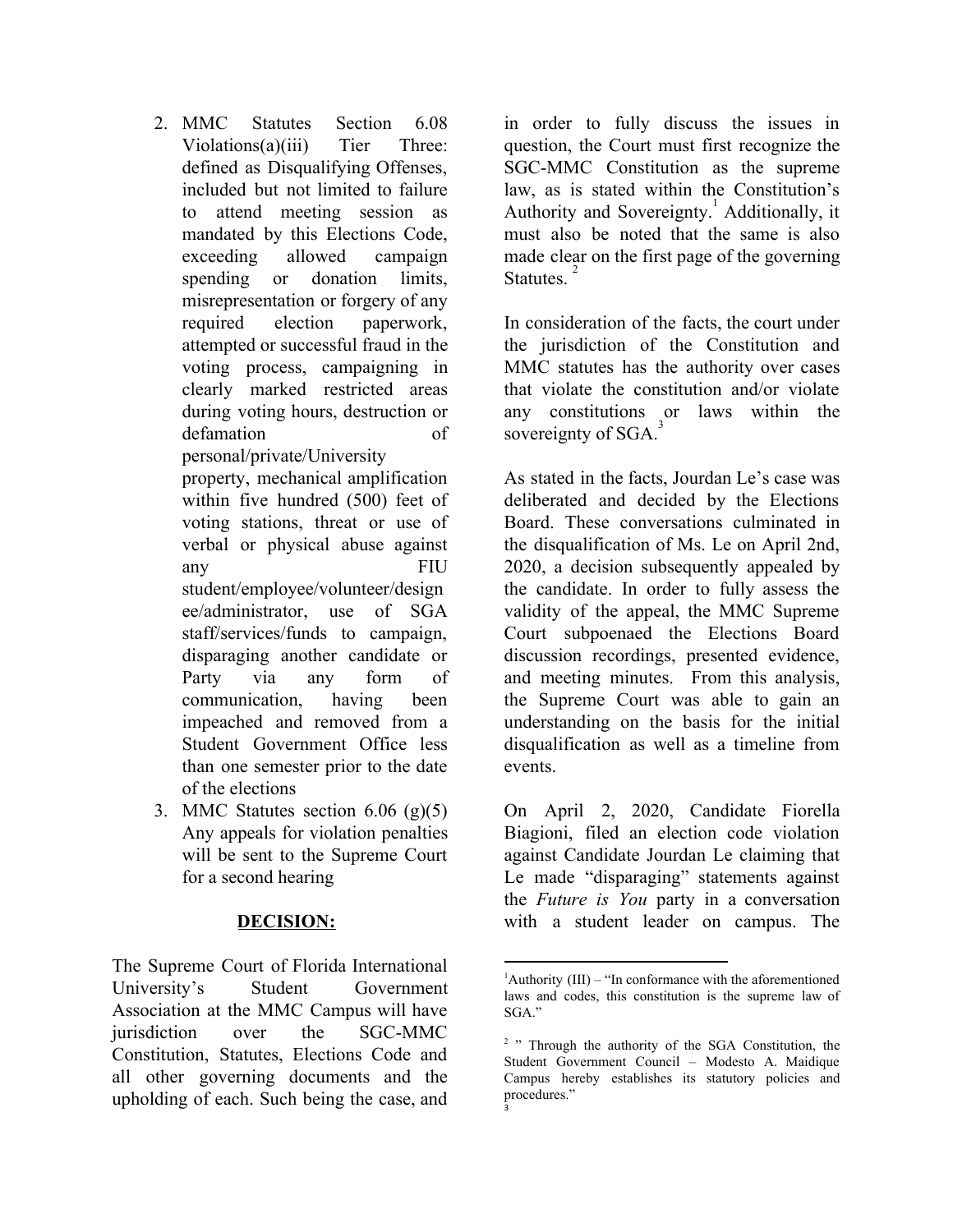- 2 MMC Statutes Section 6.08 Violations(a)(iii) Tier Three: defined as Disqualifying Offenses, included but not limited to failure to attend meeting session as mandated by this Elections Code, exceeding allowed campaign spending or donation limits, misrepresentation or forgery of any required election paperwork, attempted or successful fraud in the voting process, campaigning in clearly marked restricted areas during voting hours, destruction or defamation of personal/private/University property, mechanical amplification within five hundred (500) feet of voting stations, threat or use of verbal or physical abuse against any FIU student/employee/volunteer/design ee/administrator, use of SGA staff/services/funds to campaign, disparaging another candidate or Party via any form of communication, having been impeached and removed from a Student Government Office less than one semester prior to the date of the elections
- 3. MMC Statutes section  $6.06$  (g)(5) Any appeals for violation penalties will be sent to the Supreme Court for a second hearing

### **DECISION:**

The Supreme Court of Florida International University's Student Government Association at the MMC Campus will have jurisdiction over the SGC-MMC Constitution, Statutes, Elections Code and all other governing documents and the upholding of each. Such being the case, and in order to fully discuss the issues in question, the Court must first recognize the SGC-MMC Constitution as the supreme law, as is stated within the Constitution's Authority and Sovereignty.<sup>1</sup> Additionally, it must also be noted that the same is also made clear on the first page of the governing Statutes.<sup>2</sup>

In consideration of the facts, the court under the jurisdiction of the Constitution and MMC statutes has the authority over cases that violate the constitution and/or violate any constitutions or laws within the sovereignty of SGA.<sup>3</sup>

As stated in the facts, Jourdan Le's case was deliberated and decided by the Elections Board. These conversations culminated in the disqualification of Ms. Le on April 2nd, 2020, a decision subsequently appealed by the candidate. In order to fully assess the validity of the appeal, the MMC Supreme Court subpoenaed the Elections Board discussion recordings, presented evidence, and meeting minutes. From this analysis, the Supreme Court was able to gain an understanding on the basis for the initial disqualification as well as a timeline from events.

On April 2, 2020, Candidate Fiorella Biagioni, filed an election code violation against Candidate Jourdan Le claiming that Le made "disparaging" statements against the *Future is You* party in a conversation with a student leader on campus. The

 ${}^{1}$ Authority (III) – "In conformance with the aforementioned laws and codes, this constitution is the supreme law of SGA."

<sup>&</sup>lt;sup>2</sup> " Through the authority of the SGA Constitution, the Student Government Council – Modesto A. Maidique Campus hereby establishes its statutory policies and procedures." 3